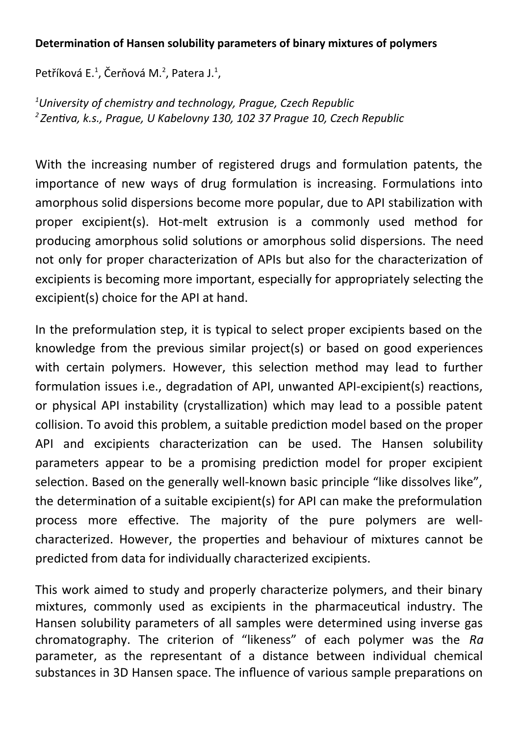## **Determination of Hansen solubility parameters of binary mixtures of polymers**

Petříková E. $^1$ , Čerňová M. $^2$ , Patera J. $^1$ ,

*<sup>1</sup>University of chemistry and technology, Prague, Czech Republic <sup>2</sup>Zentiva, k.s., Prague, U Kabelovny 130, 102 37 Prague 10, Czech Republic*

With the increasing number of registered drugs and formulation patents, the importance of new ways of drug formulation is increasing. Formulations into amorphous solid dispersions become more popular, due to API stabilization with proper excipient(s). Hot-melt extrusion is a commonly used method for producing amorphous solid solutions or amorphous solid dispersions. The need not only for proper characterization of APIs but also for the characterization of excipients is becoming more important, especially for appropriately selecting the excipient(s) choice for the API at hand.

In the preformulation step, it is typical to select proper excipients based on the knowledge from the previous similar project(s) or based on good experiences with certain polymers. However, this selection method may lead to further formulation issues i.e., degradation of API, unwanted API-excipient(s) reactions, or physical API instability (crystallization) which may lead to a possible patent collision. To avoid this problem, a suitable prediction model based on the proper API and excipients characterization can be used. The Hansen solubility parameters appear to be a promising prediction model for proper excipient selection. Based on the generally well-known basic principle "like dissolves like", the determination of a suitable excipient(s) for API can make the preformulation process more effective. The majority of the pure polymers are wellcharacterized. However, the properties and behaviour of mixtures cannot be predicted from data for individually characterized excipients.

This work aimed to study and properly characterize polymers, and their binary mixtures, commonly used as excipients in the pharmaceutical industry. The Hansen solubility parameters of all samples were determined using inverse gas chromatography. The criterion of "likeness" of each polymer was the *Ra* parameter, as the representant of a distance between individual chemical substances in 3D Hansen space. The influence of various sample preparations on